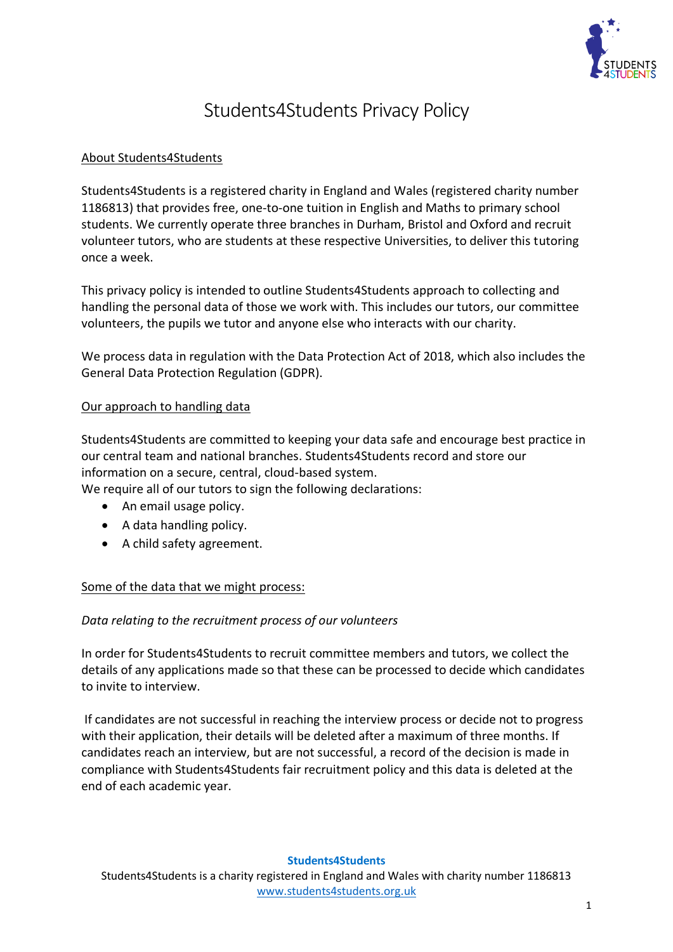

# Students4Students Privacy Policy

# About Students4Students

Students4Students is a registered charity in England and Wales (registered charity number 1186813) that provides free, one-to-one tuition in English and Maths to primary school students. We currently operate three branches in Durham, Bristol and Oxford and recruit volunteer tutors, who are students at these respective Universities, to deliver this tutoring once a week.

This privacy policy is intended to outline Students4Students approach to collecting and handling the personal data of those we work with. This includes our tutors, our committee volunteers, the pupils we tutor and anyone else who interacts with our charity.

We process data in regulation with the Data Protection Act of 2018, which also includes the General Data Protection Regulation (GDPR).

### Our approach to handling data

Students4Students are committed to keeping your data safe and encourage best practice in our central team and national branches. Students4Students record and store our information on a secure, central, cloud-based system.

We require all of our tutors to sign the following declarations:

- An email usage policy.
- A data handling policy.
- A child safety agreement.

## Some of the data that we might process:

## *Data relating to the recruitment process of our volunteers*

In order for Students4Students to recruit committee members and tutors, we collect the details of any applications made so that these can be processed to decide which candidates to invite to interview.

If candidates are not successful in reaching the interview process or decide not to progress with their application, their details will be deleted after a maximum of three months. If candidates reach an interview, but are not successful, a record of the decision is made in compliance with Students4Students fair recruitment policy and this data is deleted at the end of each academic year.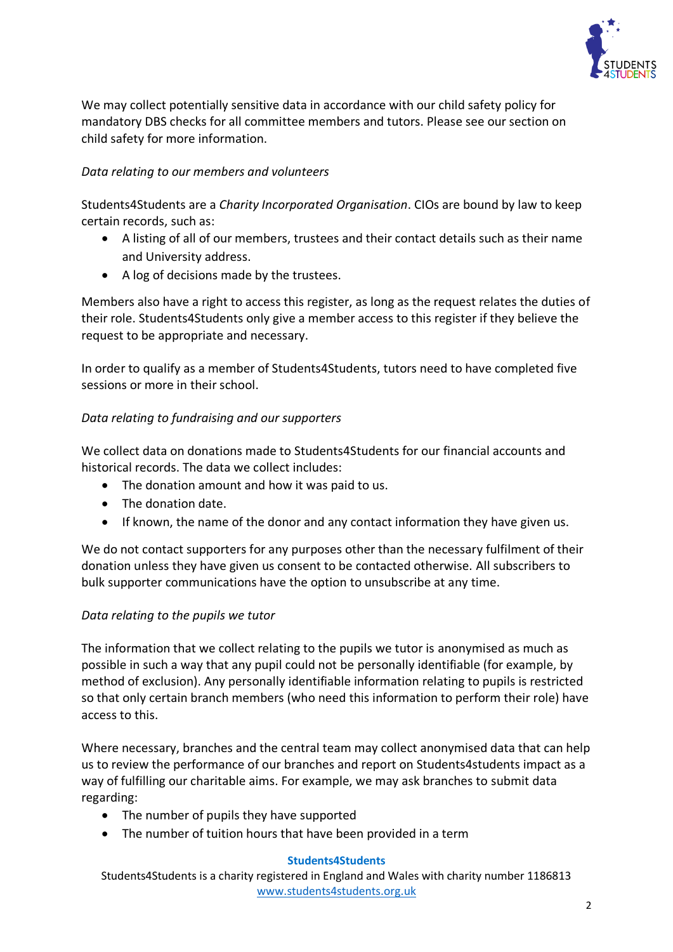

We may collect potentially sensitive data in accordance with our child safety policy for mandatory DBS checks for all committee members and tutors. Please see our section on child safety for more information.

## *Data relating to our members and volunteers*

Students4Students are a *Charity Incorporated Organisation*. CIOs are bound by law to keep certain records, such as:

- A listing of all of our members, trustees and their contact details such as their name and University address.
- A log of decisions made by the trustees.

Members also have a right to access this register, as long as the request relates the duties of their role. Students4Students only give a member access to this register if they believe the request to be appropriate and necessary.

In order to qualify as a member of Students4Students, tutors need to have completed five sessions or more in their school.

# *Data relating to fundraising and our supporters*

We collect data on donations made to Students4Students for our financial accounts and historical records. The data we collect includes:

- The donation amount and how it was paid to us.
- The donation date.
- If known, the name of the donor and any contact information they have given us.

We do not contact supporters for any purposes other than the necessary fulfilment of their donation unless they have given us consent to be contacted otherwise. All subscribers to bulk supporter communications have the option to unsubscribe at any time.

## *Data relating to the pupils we tutor*

The information that we collect relating to the pupils we tutor is anonymised as much as possible in such a way that any pupil could not be personally identifiable (for example, by method of exclusion). Any personally identifiable information relating to pupils is restricted so that only certain branch members (who need this information to perform their role) have access to this.

Where necessary, branches and the central team may collect anonymised data that can help us to review the performance of our branches and report on Students4students impact as a way of fulfilling our charitable aims. For example, we may ask branches to submit data regarding:

- The number of pupils they have supported
- The number of tuition hours that have been provided in a term

#### **Students4Students**

Students4Students is a charity registered in England and Wales with charity number 1186813 [www.students4students.org.uk](http://www.students4students.org.uk/)